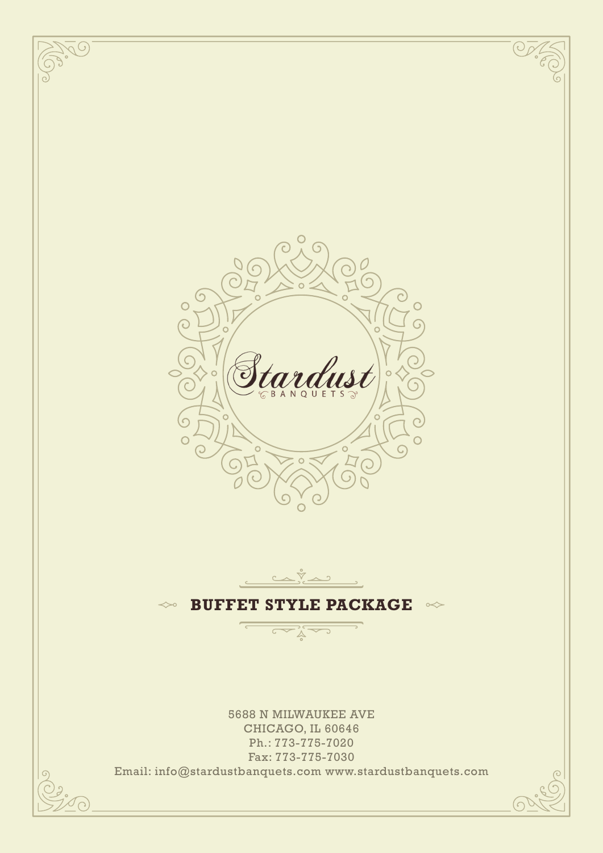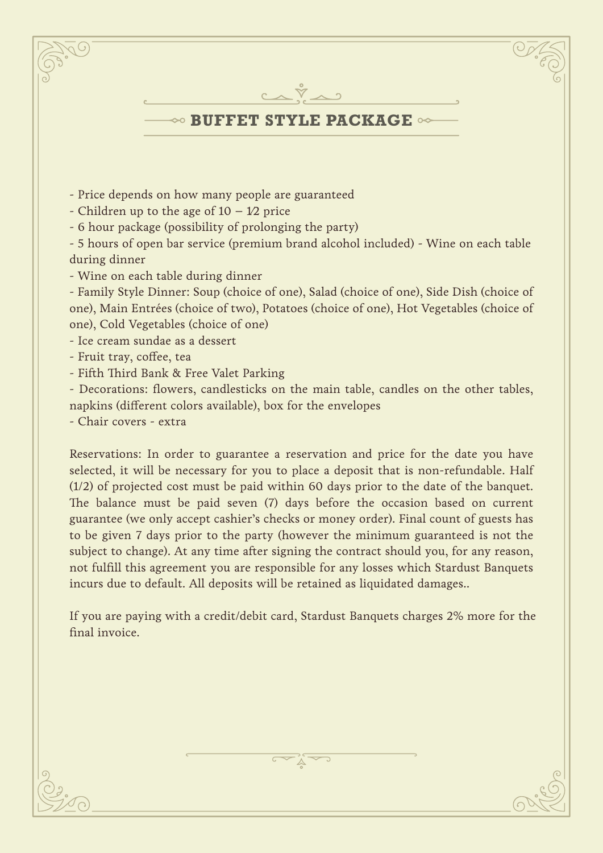

- Price depends on how many people are guaranteed
- Children up to the age of  $10 1/2$  price
- 6 hour package (possibility of prolonging the party)

- 5 hours of open bar service (premium brand alcohol included) - Wine on each table during dinner

- Wine on each table during dinner

- Family Style Dinner: Soup (choice of one), Salad (choice of one), Side Dish (choice of one), Main Entrées (choice of two), Potatoes (choice of one), Hot Vegetables (choice of one), Cold Vegetables (choice of one)

- Ice cream sundae as a dessert
- Fruit tray, coffee, tea
- Fifth Third Bank & Free Valet Parking

- Decorations: flowers, candlesticks on the main table, candles on the other tables, napkins (different colors available), box for the envelopes

- Chair covers - extra

Reservations: In order to guarantee a reservation and price for the date you have selected, it will be necessary for you to place a deposit that is non-refundable. Half (1/2) of projected cost must be paid within 60 days prior to the date of the banquet. The balance must be paid seven (7) days before the occasion based on current guarantee (we only accept cashier's checks or money order). Final count of guests has to be given 7 days prior to the party (however the minimum guaranteed is not the subject to change). At any time after signing the contract should you, for any reason, not fulfill this agreement you are responsible for any losses which Stardust Banquets incurs due to default. All deposits will be retained as liquidated damages..

If you are paying with a credit/debit card, Stardust Banquets charges 2% more for the final invoice.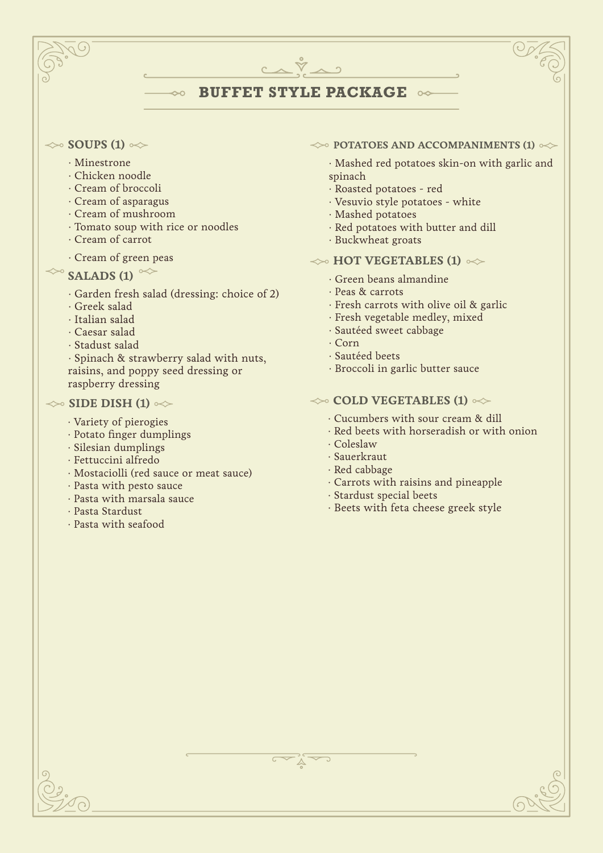# **BUFFET STYLE PACKAGE**

 $C \wedge \tilde{V} \wedge \gamma$ 

### $\gg$  **SOUPS (1)**  $\ll$

- · Minestrone
- · Chicken noodle
- · Cream of broccoli
- · Cream of asparagus
- · Cream of mushroom
- · Tomato soup with rice or noodles
- · Cream of carrot
- · Cream of green peas

# $\sim$  **SALADS (1)**  $\sim$

- · Garden fresh salad (dressing: choice of 2)
- · Greek salad
- · Italian salad
- · Caesar salad
- · Stadust salad

· Spinach & strawberry salad with nuts, raisins, and poppy seed dressing or raspberry dressing

## $\gg$  **SIDE DISH (1)**  $\gg$

- · Variety of pierogies
- · Potato finger dumplings
- · Silesian dumplings
- · Fettuccini alfredo
- · Mostaciolli (red sauce or meat sauce)
- · Pasta with pesto sauce
- · Pasta with marsala sauce
- · Pasta Stardust
- · Pasta with seafood

### $\leftrightarrow$  **POTATOES AND ACCOMPANIMENTS (1)**  $\leftrightarrow$

· Mashed red potatoes skin-on with garlic and spinach

- · Roasted potatoes red
- · Vesuvio style potatoes white
- · Mashed potatoes
- · Red potatoes with butter and dill
- · Buckwheat groats

# $\gg$  **HOT VEGETABLES (1)**  $\ll$

- · Green beans almandine
- · Peas & carrots
- · Fresh carrots with olive oil & garlic
- · Fresh vegetable medley, mixed
- · Sautéed sweet cabbage
- · Corn
- · Sautéed beets
- · Broccoli in garlic butter sauce

## $\leftrightarrow$  **COLD VEGETABLES (1)**  $\leftrightarrow$

- · Cucumbers with sour cream & dill
- · Red beets with horseradish or with onion
- · Coleslaw
- · Sauerkraut
- · Red cabbage
- · Carrots with raisins and pineapple
- · Stardust special beets
- · Beets with feta cheese greek style